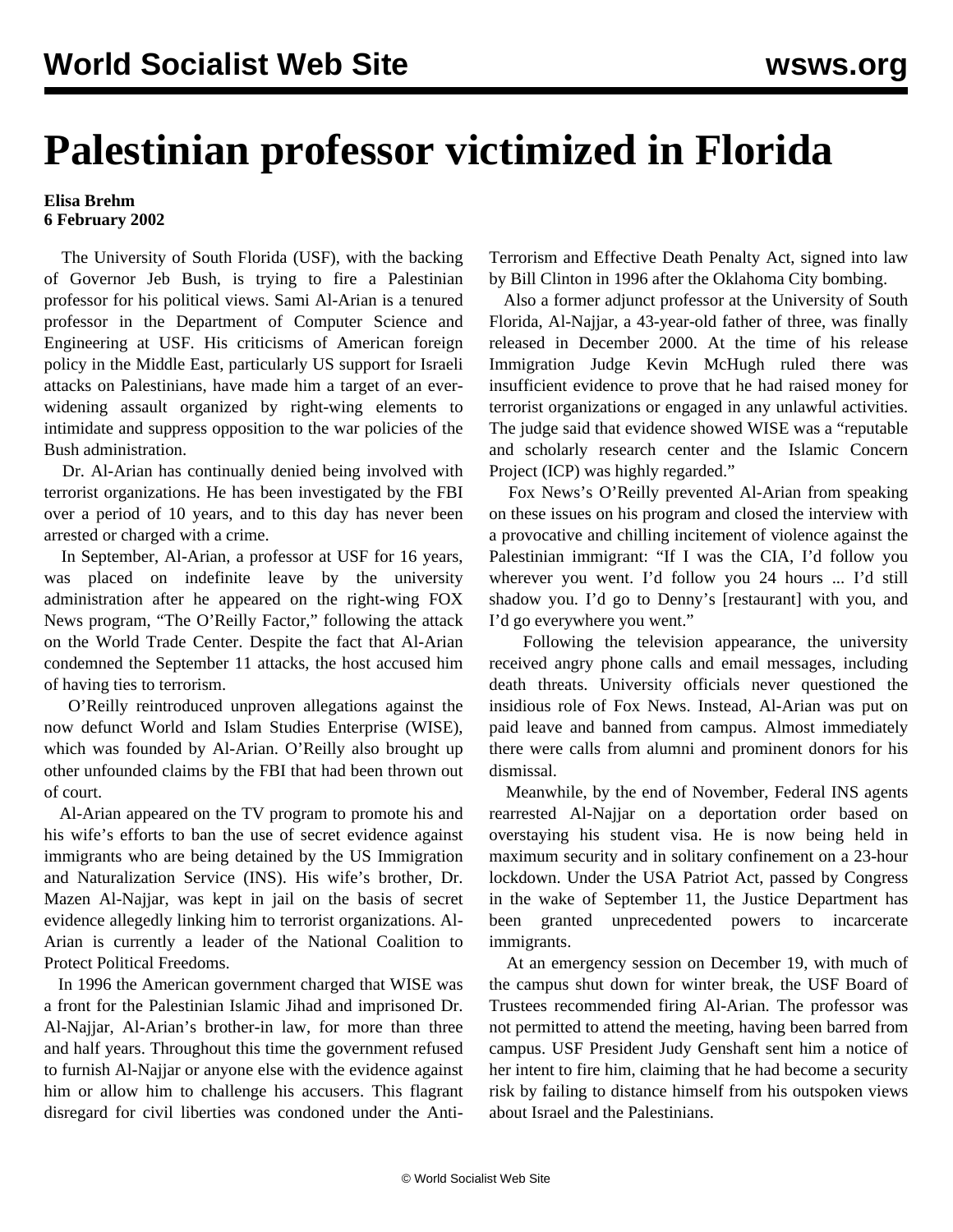## **Palestinian professor victimized in Florida**

## **Elisa Brehm 6 February 2002**

 The University of South Florida (USF), with the backing of Governor Jeb Bush, is trying to fire a Palestinian professor for his political views. Sami Al-Arian is a tenured professor in the Department of Computer Science and Engineering at USF. His criticisms of American foreign policy in the Middle East, particularly US support for Israeli attacks on Palestinians, have made him a target of an everwidening assault organized by right-wing elements to intimidate and suppress opposition to the war policies of the Bush administration.

 Dr. Al-Arian has continually denied being involved with terrorist organizations. He has been investigated by the FBI over a period of 10 years, and to this day has never been arrested or charged with a crime.

 In September, Al-Arian, a professor at USF for 16 years, was placed on indefinite leave by the university administration after he appeared on the right-wing FOX News program, "The O'Reilly Factor," following the attack on the World Trade Center. Despite the fact that Al-Arian condemned the September 11 attacks, the host accused him of having ties to terrorism.

 O'Reilly reintroduced unproven allegations against the now defunct World and Islam Studies Enterprise (WISE), which was founded by Al-Arian. O'Reilly also brought up other unfounded claims by the FBI that had been thrown out of court.

 Al-Arian appeared on the TV program to promote his and his wife's efforts to ban the use of secret evidence against immigrants who are being detained by the US Immigration and Naturalization Service (INS). His wife's brother, Dr. Mazen Al-Najjar, was kept in jail on the basis of secret evidence allegedly linking him to terrorist organizations. Al-Arian is currently a leader of the National Coalition to Protect Political Freedoms.

 In 1996 the American government charged that WISE was a front for the Palestinian Islamic Jihad and imprisoned Dr. Al-Najjar, Al-Arian's brother-in law, for more than three and half years. Throughout this time the government refused to furnish Al-Najjar or anyone else with the evidence against him or allow him to challenge his accusers. This flagrant disregard for civil liberties was condoned under the AntiTerrorism and Effective Death Penalty Act, signed into law by Bill Clinton in 1996 after the Oklahoma City bombing.

 Also a former adjunct professor at the University of South Florida, Al-Najjar, a 43-year-old father of three, was finally released in December 2000. At the time of his release Immigration Judge Kevin McHugh ruled there was insufficient evidence to prove that he had raised money for terrorist organizations or engaged in any unlawful activities. The judge said that evidence showed WISE was a "reputable and scholarly research center and the Islamic Concern Project (ICP) was highly regarded."

 Fox News's O'Reilly prevented Al-Arian from speaking on these issues on his program and closed the interview with a provocative and chilling incitement of violence against the Palestinian immigrant: "If I was the CIA, I'd follow you wherever you went. I'd follow you 24 hours ... I'd still shadow you. I'd go to Denny's [restaurant] with you, and I'd go everywhere you went."

 Following the television appearance, the university received angry phone calls and email messages, including death threats. University officials never questioned the insidious role of Fox News. Instead, Al-Arian was put on paid leave and banned from campus. Almost immediately there were calls from alumni and prominent donors for his dismissal.

 Meanwhile, by the end of November, Federal INS agents rearrested Al-Najjar on a deportation order based on overstaying his student visa. He is now being held in maximum security and in solitary confinement on a 23-hour lockdown. Under the USA Patriot Act, passed by Congress in the wake of September 11, the Justice Department has been granted unprecedented powers to incarcerate immigrants.

 At an emergency session on December 19, with much of the campus shut down for winter break, the USF Board of Trustees recommended firing Al-Arian. The professor was not permitted to attend the meeting, having been barred from campus. USF President Judy Genshaft sent him a notice of her intent to fire him, claiming that he had become a security risk by failing to distance himself from his outspoken views about Israel and the Palestinians.